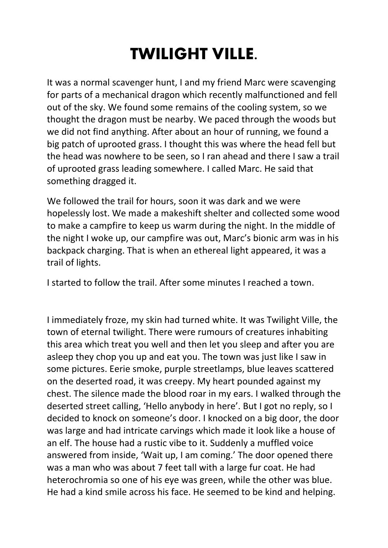## **TWILIGHT VILLE.**

It was a normal scavenger hunt, I and my friend Marc were scavenging for parts of a mechanical dragon which recently malfunctioned and fell out of the sky. We found some remains of the cooling system, so we thought the dragon must be nearby. We paced through the woods but we did not find anything. After about an hour of running, we found a big patch of uprooted grass. I thought this was where the head fell but the head was nowhere to be seen, so I ran ahead and there I saw a trail of uprooted grass leading somewhere. I called Marc. He said that something dragged it.

We followed the trail for hours, soon it was dark and we were hopelessly lost. We made a makeshift shelter and collected some wood to make a campfire to keep us warm during the night. In the middle of the night I woke up, our campfire was out, Marc's bionic arm was in his backpack charging. That is when an ethereal light appeared, it was a trail of lights.

I started to follow the trail. After some minutes I reached a town.

I immediately froze, my skin had turned white. It was Twilight Ville, the town of eternal twilight. There were rumours of creatures inhabiting this area which treat you well and then let you sleep and after you are asleep they chop you up and eat you. The town was just like I saw in some pictures. Eerie smoke, purple streetlamps, blue leaves scattered on the deserted road, it was creepy. My heart pounded against my chest. The silence made the blood roar in my ears. I walked through the deserted street calling, 'Hello anybody in here'. But I got no reply, so I decided to knock on someone's door. I knocked on a big door, the door was large and had intricate carvings which made it look like a house of an elf. The house had a rustic vibe to it. Suddenly a muffled voice answered from inside, 'Wait up, I am coming.' The door opened there was a man who was about 7 feet tall with a large fur coat. He had heterochromia so one of his eye was green, while the other was blue. He had a kind smile across his face. He seemed to be kind and helping.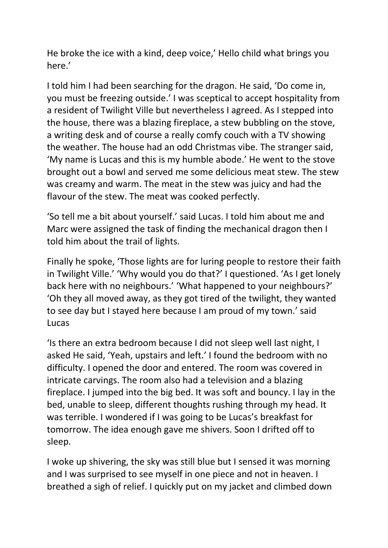He broke the ice with a kind, deep voice,' Hello child what brings you here.'

I told him I had been searching for the dragon. He said, 'Do come in, you must be freezing outside.' I was sceptical to accept hospitality from a resident of Twilight Ville but nevertheless I agreed. As I stepped into the house, there was a blazing fireplace, a stew bubbling on the stove, a writing desk and of course a really comfy couch with a TV showing the weather. The house had an odd Christmas vibe. The stranger said, 'My name is Lucas and this is my humble abode.' He went to the stove brought out a bowl and served me some delicious meat stew. The stew was creamy and warm. The meat in the stew was juicy and had the flavour of the stew. The meat was cooked perfectly.

'So tell me a bit about yourself.' said Lucas. I told him about me and Marc were assigned the task of finding the mechanical dragon then I told him about the trail of lights.

Finally he spoke, 'Those lights are for luring people to restore their faith in Twilight Ville.' 'Why would you do that?' I questioned. 'As I get lonely back here with no neighbours.' 'What happened to your neighbours?' 'Oh they all moved away, as they got tired of the twilight, they wanted to see day but I stayed here because I am proud of my town.' said Lucas

'Is there an extra bedroom because I did not sleep well last night, I asked He said, 'Yeah, upstairs and left.' I found the bedroom with no difficulty. I opened the door and entered. The room was covered in intricate carvings. The room also had a television and a blazing fireplace. I jumped into the big bed. It was soft and bouncy. I lay in the bed, unable to sleep, different thoughts rushing through my head. It was terrible. I wondered if I was going to be Lucas's breakfast for tomorrow. The idea enough gave me shivers. Soon I drifted off to sleep.

I woke up shivering, the sky was still blue but I sensed it was morning and I was surprised to see myself in one piece and not in heaven. I breathed a sigh of relief. I quickly put on my jacket and climbed down